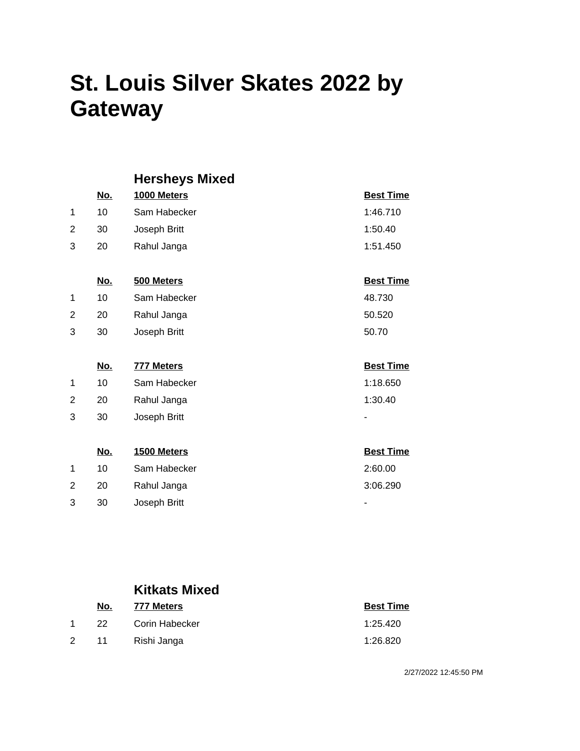|   |            | <b>Hersheys Mixed</b> |                  |
|---|------------|-----------------------|------------------|
|   | <u>No.</u> | 1000 Meters           | <b>Best Time</b> |
| 1 | 10         | Sam Habecker          | 1:46.710         |
| 2 | 30         | Joseph Britt          | 1:50.40          |
| 3 | 20         | Rahul Janga           | 1:51.450         |
|   |            |                       |                  |
|   | <u>No.</u> | 500 Meters            | <b>Best Time</b> |
| 1 | 10         | Sam Habecker          | 48.730           |
| 2 | 20         | Rahul Janga           | 50.520           |
| 3 | 30         | Joseph Britt          | 50.70            |
|   |            |                       |                  |
|   | <u>No.</u> | <b>777 Meters</b>     | <b>Best Time</b> |
| 1 | 10         | Sam Habecker          | 1:18.650         |
| 2 | 20         | Rahul Janga           | 1:30.40          |
| 3 | 30         | Joseph Britt          |                  |
|   |            |                       |                  |
|   | <u>No.</u> | 1500 Meters           | <b>Best Time</b> |
| 1 | 10         | Sam Habecker          | 2:60.00          |
| 2 | 20         | Rahul Janga           | 3:06.290         |
| 3 | 30         | Joseph Britt          |                  |

### **Kitkats Mixed**

|                      | No.   | 777 Meters     | <b>Best Time</b> |
|----------------------|-------|----------------|------------------|
|                      | -22 - | Corin Habecker | 1:25.420         |
| $\mathbf{2}^{\circ}$ | 11    | Rishi Janga    | 1:26.820         |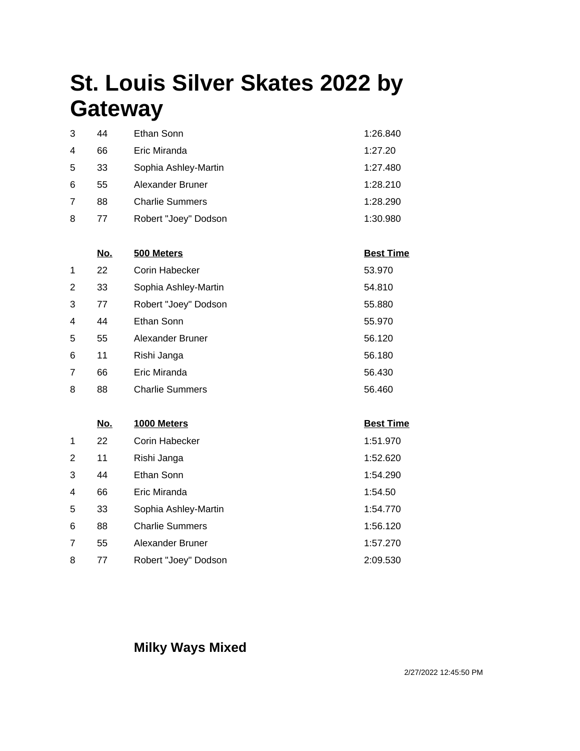| 3 | 44 | Ethan Sonn             | 1:26.840 |
|---|----|------------------------|----------|
| 4 | 66 | Eric Miranda           | 1:27.20  |
| 5 | 33 | Sophia Ashley-Martin   | 1:27.480 |
| 6 | 55 | Alexander Bruner       | 1:28.210 |
| 7 | 88 | <b>Charlie Summers</b> | 1:28.290 |
| 8 | 77 | Robert "Joey" Dodson   | 1:30.980 |

|   | <u>No.</u> | 500 Meters             | <b>Best Time</b> |
|---|------------|------------------------|------------------|
| 1 | 22         | Corin Habecker         | 53.970           |
| 2 | 33         | Sophia Ashley-Martin   | 54.810           |
| 3 | 77         | Robert "Joey" Dodson   | 55.880           |
| 4 | 44         | Ethan Sonn             | 55.970           |
| 5 | 55         | Alexander Bruner       | 56.120           |
| 6 | 11         | Rishi Janga            | 56.180           |
| 7 | 66         | Eric Miranda           | 56.430           |
| 8 | 88         | <b>Charlie Summers</b> | 56.460           |

|                | <u>No.</u> | 1000 Meters            | <b>Best Time</b> |
|----------------|------------|------------------------|------------------|
| 1              | 22         | Corin Habecker         | 1:51.970         |
| 2              | 11         | Rishi Janga            | 1:52.620         |
| 3              | 44         | Ethan Sonn             | 1:54.290         |
| $\overline{4}$ | 66         | Eric Miranda           | 1:54.50          |
| 5              | 33         | Sophia Ashley-Martin   | 1:54.770         |
| 6              | 88         | <b>Charlie Summers</b> | 1:56.120         |
| 7              | 55         | Alexander Bruner       | 1:57.270         |
| 8              | 77         | Robert "Joey" Dodson   | 2:09.530         |

### **Milky Ways Mixed**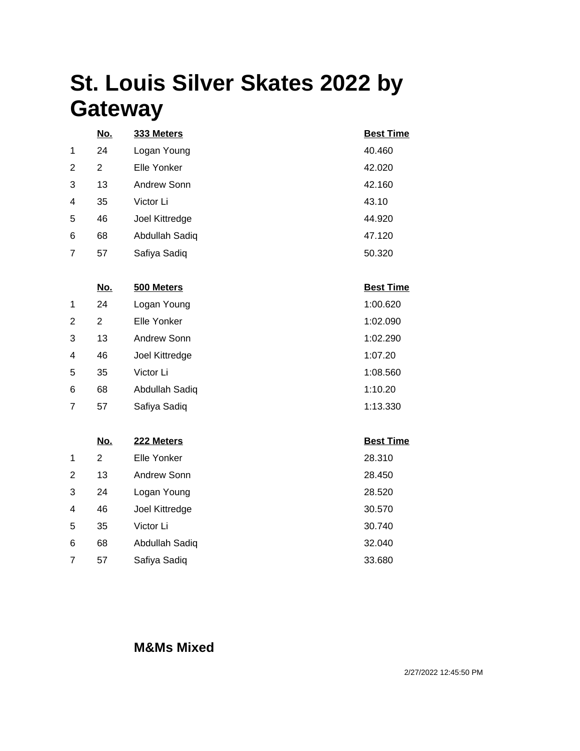|                | <u>No.</u> | 333 Meters     | <b>Best Time</b> |
|----------------|------------|----------------|------------------|
| 1              | 24         | Logan Young    | 40.460           |
| 2              | 2          | Elle Yonker    | 42.020           |
| 3              | 13         | Andrew Sonn    | 42.160           |
| $\overline{4}$ | 35         | Victor Li      | 43.10            |
| 5              | 46         | Joel Kittredge | 44.920           |
| 6              | 68         | Abdullah Sadiq | 47.120           |
| 7              | 57         | Safiya Sadiq   | 50.320           |

|                         | <u>No.</u> | 500 Meters     | <b>Best Time</b> |
|-------------------------|------------|----------------|------------------|
| 1                       | 24         | Logan Young    | 1:00.620         |
| 2                       | 2          | Elle Yonker    | 1:02.090         |
| 3                       | 13         | Andrew Sonn    | 1:02.290         |
| $\overline{\mathbf{4}}$ | 46         | Joel Kittredge | 1:07.20          |
| 5                       | 35         | Victor Li      | 1:08.560         |
| 6                       | 68         | Abdullah Sadiq | 1:10.20          |
| 7                       | 57         | Safiya Sadiq   | 1:13.330         |

|                | <u>No.</u> | 222 Meters     | <b>Best Time</b> |
|----------------|------------|----------------|------------------|
| 1              | 2          | Elle Yonker    | 28.310           |
| 2              | 13         | Andrew Sonn    | 28.450           |
| 3              | 24         | Logan Young    | 28.520           |
| $\overline{4}$ | 46         | Joel Kittredge | 30.570           |
| 5              | 35         | Victor Li      | 30.740           |
| 6              | 68         | Abdullah Sadiq | 32.040           |
| 7              | 57         | Safiya Sadiq   | 33.680           |

#### **M&Ms Mixed**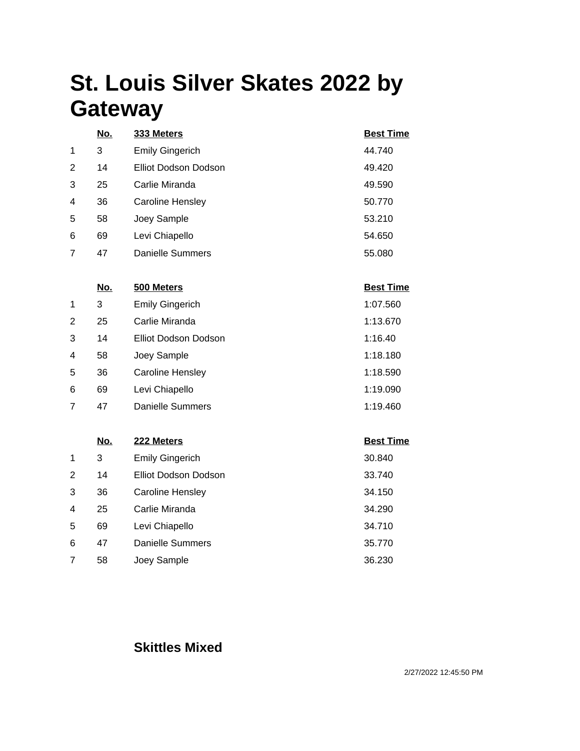| <b>Best Time</b> |
|------------------|
| 44.740           |
| 49.420           |
| 49.590           |
| 50.770           |
| 53.210           |
| 54.650           |
| 55.080           |
|                  |

|                | No. | 500 Meters             | <b>Best Time</b> |
|----------------|-----|------------------------|------------------|
| 1              | 3   | <b>Emily Gingerich</b> | 1:07.560         |
| 2              | 25  | Carlie Miranda         | 1:13.670         |
| 3              | 14  | Elliot Dodson Dodson   | 1:16.40          |
| $\overline{4}$ | 58  | Joey Sample            | 1:18.180         |
| 5              | 36  | Caroline Hensley       | 1:18.590         |
| 6              | 69  | Levi Chiapello         | 1:19.090         |
| 7              | 47  | Danielle Summers       | 1:19.460         |

|   | No. | 222 Meters              | <b>Best Time</b> |
|---|-----|-------------------------|------------------|
| 1 | 3   | <b>Emily Gingerich</b>  | 30.840           |
| 2 | 14  | Elliot Dodson Dodson    | 33.740           |
| 3 | 36  | <b>Caroline Hensley</b> | 34.150           |
| 4 | 25  | Carlie Miranda          | 34.290           |
| 5 | 69  | Levi Chiapello          | 34.710           |
| 6 | 47  | <b>Danielle Summers</b> | 35.770           |
|   | 58  | Joey Sample             | 36.230           |

### **Skittles Mixed**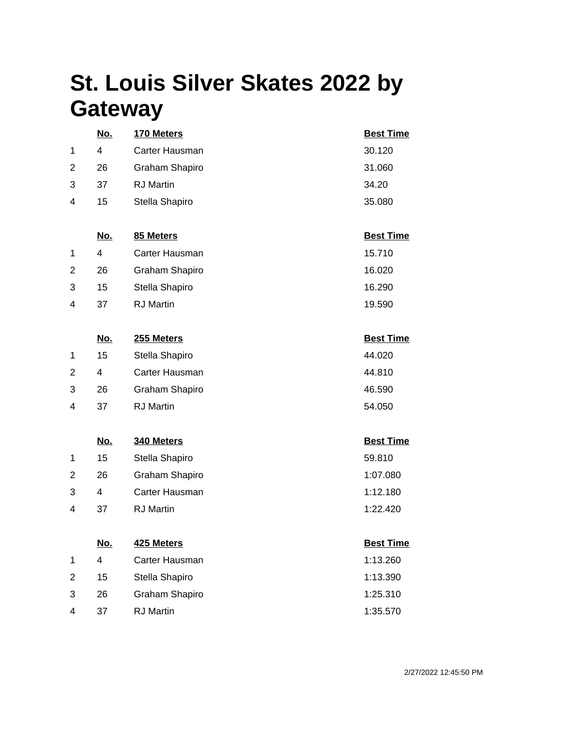|                | <u>No.</u>              | 170 Meters       | <b>Best Time</b> |
|----------------|-------------------------|------------------|------------------|
| 1              | $\overline{\mathbf{4}}$ | Carter Hausman   | 30.120           |
| $\overline{2}$ | 26                      | Graham Shapiro   | 31.060           |
| 3              | 37                      | <b>RJ</b> Martin | 34.20            |
| 4              | 15                      | Stella Shapiro   | 35.080           |
|                |                         |                  |                  |
|                | <u>No.</u>              | 85 Meters        | <b>Best Time</b> |
| 1              | $\overline{4}$          | Carter Hausman   | 15.710           |
| 2              | 26                      | Graham Shapiro   | 16.020           |
| 3              | 15                      | Stella Shapiro   | 16.290           |
| 4              | 37                      | <b>RJ</b> Martin | 19.590           |
|                |                         |                  |                  |
|                | <u>No.</u>              | 255 Meters       | <b>Best Time</b> |
| 1              | 15                      | Stella Shapiro   | 44.020           |
| 2              | $\overline{4}$          | Carter Hausman   | 44.810           |
| 3              | 26                      | Graham Shapiro   | 46.590           |
| 4              | 37                      | <b>RJ</b> Martin | 54.050           |
|                |                         |                  |                  |
|                | <u>No.</u>              | 340 Meters       | <b>Best Time</b> |
| 1              | 15                      | Stella Shapiro   | 59.810           |
| 2              | 26                      | Graham Shapiro   | 1:07.080         |
| 3              | 4                       | Carter Hausman   | 1:12.180         |
| 4              | 37                      | <b>RJ</b> Martin | 1:22.420         |
|                |                         |                  |                  |
|                | <u>No.</u>              | 425 Meters       | <b>Best Time</b> |
| 1              | $\overline{\mathbf{4}}$ | Carter Hausman   | 1:13.260         |
| 2              | 15                      | Stella Shapiro   | 1:13.390         |
| 3              | 26                      | Graham Shapiro   | 1:25.310         |
| 4              | 37                      | <b>RJ</b> Martin | 1:35.570         |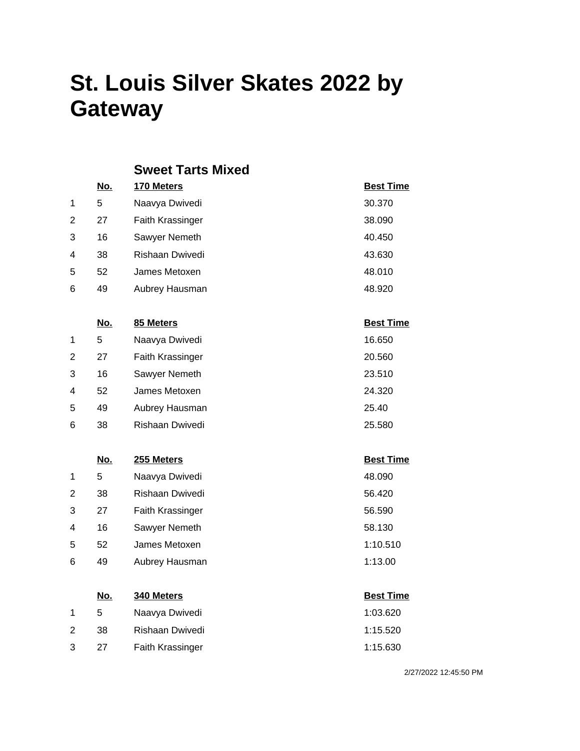#### **Sweet Tarts Mixed**

|                | <u>No.</u> | 170 Meters              | <b>Best Time</b> |
|----------------|------------|-------------------------|------------------|
| 1              | 5          | Naavya Dwivedi          | 30.370           |
| 2              | 27         | <b>Faith Krassinger</b> | 38,090           |
| 3              | 16         | Sawyer Nemeth           | 40.450           |
| $\overline{4}$ | 38         | Rishaan Dwivedi         | 43.630           |
| 5              | 52         | James Metoxen           | 48.010           |
| 6              | 49         | Aubrey Hausman          | 48.920           |
|                |            |                         |                  |
|                | <u>No.</u> | 85 Meters               | <b>Best Time</b> |
| 1              | 5          | Naavya Dwivedi          | 16.650           |

| $\mathbf{2}^{\prime}$ | 27 | <b>Faith Krassinger</b> | 20.560 |
|-----------------------|----|-------------------------|--------|
| 3                     | 16 | Sawyer Nemeth           | 23.510 |
| 4                     | 52 | James Metoxen           | 24.320 |
| 5                     | 49 | Aubrey Hausman          | 25.40  |
| 6                     | 38 | Rishaan Dwivedi         | 25.580 |

### **No. 255 Meters Best Time** 1 5 Naavya Dwivedi 48.090 2 38 Rishaan Dwivedi 56.420 3 27 Faith Krassinger 56.590 4 16 Sawyer Nemeth 58.130 5 52 James Metoxen 2012 1:10.510 6 49 Aubrey Hausman 1:13.00

| No. | 340 Meters       | <b>Best Time</b> |
|-----|------------------|------------------|
| 5   | Naavya Dwivedi   | 1:03.620         |
| .38 | Rishaan Dwivedi  | 1:15.520         |
| 27  | Faith Krassinger | 1:15.630         |
|     |                  |                  |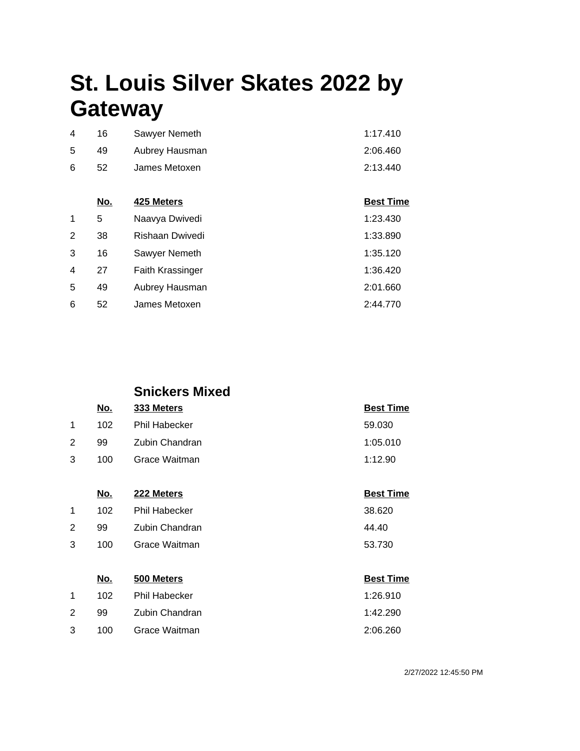| 4  | - 16 | Sawyer Nemeth  | 1:17.410 |
|----|------|----------------|----------|
| 5  | 49   | Aubrey Hausman | 2:06.460 |
| 6. | 52   | James Metoxen  | 2:13.440 |

|   | No. | 425 Meters       | <b>Best Time</b> |
|---|-----|------------------|------------------|
| 1 | 5   | Naavya Dwivedi   | 1:23.430         |
| 2 | 38  | Rishaan Dwivedi  | 1:33.890         |
| 3 | 16  | Sawyer Nemeth    | 1:35.120         |
| 4 | 27  | Faith Krassinger | 1:36.420         |
| 5 | 49  | Aubrey Hausman   | 2:01.660         |
| 6 | 52  | James Metoxen    | 2:44.770         |

|   |     | <b>Snickers Mixed</b> |                  |
|---|-----|-----------------------|------------------|
|   | No. | 333 Meters            | <b>Best Time</b> |
| 1 | 102 | <b>Phil Habecker</b>  | 59.030           |
| 2 | 99  | Zubin Chandran        | 1:05.010         |
| 3 | 100 | Grace Waitman         | 1:12.90          |
|   |     |                       |                  |

|   | No. | 222 Meters     | <b>Best Time</b> |
|---|-----|----------------|------------------|
| 1 | 102 | Phil Habecker  | 38.620           |
| 2 | 99  | Zubin Chandran | 44.40            |
| 3 | 100 | Grace Waitman  | 53.730           |
|   |     |                |                  |

|   | No. | 500 Meters     | <b>Best Time</b> |
|---|-----|----------------|------------------|
|   | 102 | Phil Habecker  | 1:26.910         |
| 2 | 99. | Zubin Chandran | 1:42.290         |
| 3 | 100 | Grace Waitman  | 2:06.260         |